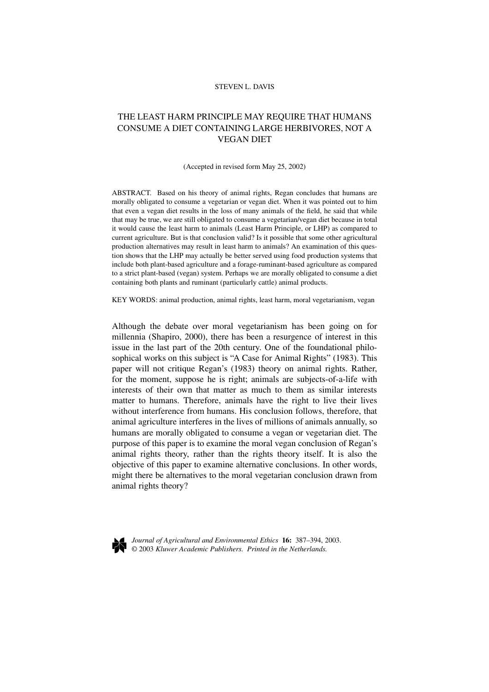#### STEVEN L. DAVIS

# THE LEAST HARM PRINCIPLE MAY REQUIRE THAT HUMANS CONSUME A DIET CONTAINING LARGE HERBIVORES, NOT A VEGAN DIET

#### (Accepted in revised form May 25, 2002)

ABSTRACT. Based on his theory of animal rights, Regan concludes that humans are morally obligated to consume a vegetarian or vegan diet. When it was pointed out to him that even a vegan diet results in the loss of many animals of the field, he said that while that may be true, we are still obligated to consume a vegetarian/vegan diet because in total it would cause the least harm to animals (Least Harm Principle, or LHP) as compared to current agriculture. But is that conclusion valid? Is it possible that some other agricultural production alternatives may result in least harm to animals? An examination of this question shows that the LHP may actually be better served using food production systems that include both plant-based agriculture and a forage-ruminant-based agriculture as compared to a strict plant-based (vegan) system. Perhaps we are morally obligated to consume a diet containing both plants and ruminant (particularly cattle) animal products.

KEY WORDS: animal production, animal rights, least harm, moral vegetarianism, vegan

Although the debate over moral vegetarianism has been going on for millennia (Shapiro, 2000), there has been a resurgence of interest in this issue in the last part of the 20th century. One of the foundational philosophical works on this subject is "A Case for Animal Rights" (1983). This paper will not critique Regan's (1983) theory on animal rights. Rather, for the moment, suppose he is right; animals are subjects-of-a-life with interests of their own that matter as much to them as similar interests matter to humans. Therefore, animals have the right to live their lives without interference from humans. His conclusion follows, therefore, that animal agriculture interferes in the lives of millions of animals annually, so humans are morally obligated to consume a vegan or vegetarian diet. The purpose of this paper is to examine the moral vegan conclusion of Regan's animal rights theory, rather than the rights theory itself. It is also the objective of this paper to examine alternative conclusions. In other words, might there be alternatives to the moral vegetarian conclusion drawn from animal rights theory?



*Journal of Agricultural and Environmental Ethics* **16:** 387–394, 2003. © 2003 *Kluwer Academic Publishers. Printed in the Netherlands.*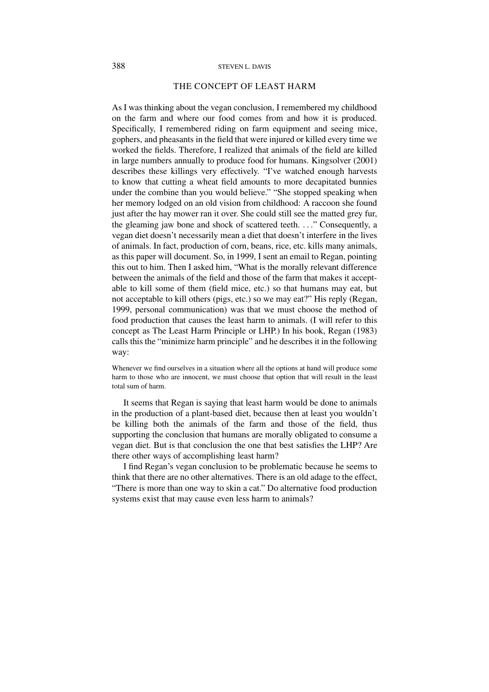### THE CONCEPT OF LEAST HARM

As I was thinking about the vegan conclusion, I remembered my childhood on the farm and where our food comes from and how it is produced. Specifically, I remembered riding on farm equipment and seeing mice, gophers, and pheasants in the field that were injured or killed every time we worked the fields. Therefore, I realized that animals of the field are killed in large numbers annually to produce food for humans. Kingsolver (2001) describes these killings very effectively. "I've watched enough harvests to know that cutting a wheat field amounts to more decapitated bunnies under the combine than you would believe." "She stopped speaking when her memory lodged on an old vision from childhood: A raccoon she found just after the hay mower ran it over. She could still see the matted grey fur, the gleaming jaw bone and shock of scattered teeth. *...*" Consequently, a vegan diet doesn't necessarily mean a diet that doesn't interfere in the lives of animals. In fact, production of corn, beans, rice, etc. kills many animals, as this paper will document. So, in 1999, I sent an email to Regan, pointing this out to him. Then I asked him, "What is the morally relevant difference between the animals of the field and those of the farm that makes it acceptable to kill some of them (field mice, etc.) so that humans may eat, but not acceptable to kill others (pigs, etc.) so we may eat?" His reply (Regan, 1999, personal communication) was that we must choose the method of food production that causes the least harm to animals. (I will refer to this concept as The Least Harm Principle or LHP.) In his book, Regan (1983) calls this the "minimize harm principle" and he describes it in the following way:

Whenever we find ourselves in a situation where all the options at hand will produce some harm to those who are innocent, we must choose that option that will result in the least total sum of harm.

It seems that Regan is saying that least harm would be done to animals in the production of a plant-based diet, because then at least you wouldn't be killing both the animals of the farm and those of the field, thus supporting the conclusion that humans are morally obligated to consume a vegan diet. But is that conclusion the one that best satisfies the LHP? Are there other ways of accomplishing least harm?

I find Regan's vegan conclusion to be problematic because he seems to think that there are no other alternatives. There is an old adage to the effect, "There is more than one way to skin a cat." Do alternative food production systems exist that may cause even less harm to animals?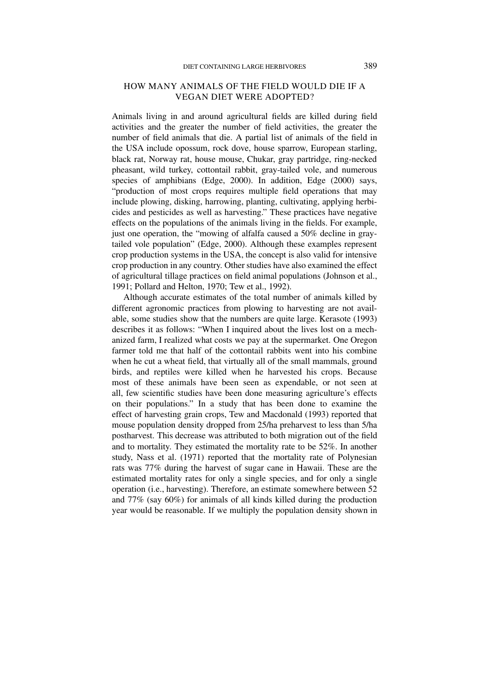# HOW MANY ANIMALS OF THE FIELD WOULD DIE IF A VEGAN DIET WERE ADOPTED?

Animals living in and around agricultural fields are killed during field activities and the greater the number of field activities, the greater the number of field animals that die. A partial list of animals of the field in the USA include opossum, rock dove, house sparrow, European starling, black rat, Norway rat, house mouse, Chukar, gray partridge, ring-necked pheasant, wild turkey, cottontail rabbit, gray-tailed vole, and numerous species of amphibians (Edge, 2000). In addition, Edge (2000) says, "production of most crops requires multiple field operations that may include plowing, disking, harrowing, planting, cultivating, applying herbicides and pesticides as well as harvesting." These practices have negative effects on the populations of the animals living in the fields. For example, just one operation, the "mowing of alfalfa caused a 50% decline in graytailed vole population" (Edge, 2000). Although these examples represent crop production systems in the USA, the concept is also valid for intensive crop production in any country. Other studies have also examined the effect of agricultural tillage practices on field animal populations (Johnson et al., 1991; Pollard and Helton, 1970; Tew et al., 1992).

Although accurate estimates of the total number of animals killed by different agronomic practices from plowing to harvesting are not available, some studies show that the numbers are quite large. Kerasote (1993) describes it as follows: "When I inquired about the lives lost on a mechanized farm, I realized what costs we pay at the supermarket. One Oregon farmer told me that half of the cottontail rabbits went into his combine when he cut a wheat field, that virtually all of the small mammals, ground birds, and reptiles were killed when he harvested his crops. Because most of these animals have been seen as expendable, or not seen at all, few scientific studies have been done measuring agriculture's effects on their populations." In a study that has been done to examine the effect of harvesting grain crops, Tew and Macdonald (1993) reported that mouse population density dropped from 25/ha preharvest to less than 5/ha postharvest. This decrease was attributed to both migration out of the field and to mortality. They estimated the mortality rate to be 52%. In another study, Nass et al. (1971) reported that the mortality rate of Polynesian rats was 77% during the harvest of sugar cane in Hawaii. These are the estimated mortality rates for only a single species, and for only a single operation (i.e., harvesting). Therefore, an estimate somewhere between 52 and 77% (say 60%) for animals of all kinds killed during the production year would be reasonable. If we multiply the population density shown in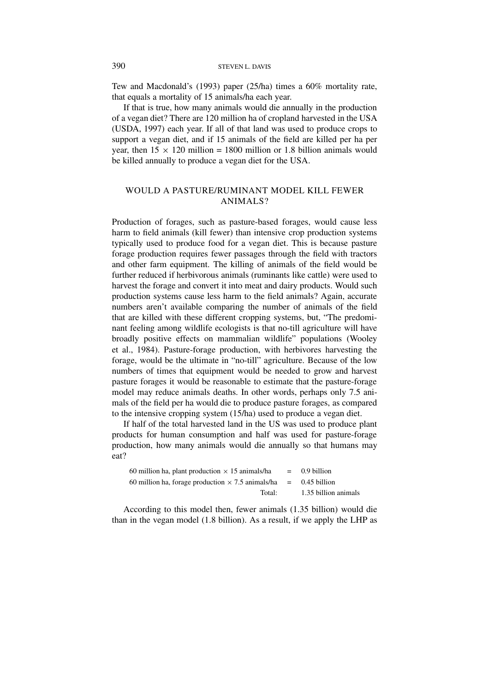Tew and Macdonald's (1993) paper (25/ha) times a 60% mortality rate, that equals a mortality of 15 animals/ha each year.

If that is true, how many animals would die annually in the production of a vegan diet? There are 120 million ha of cropland harvested in the USA (USDA, 1997) each year. If all of that land was used to produce crops to support a vegan diet, and if 15 animals of the field are killed per ha per year, then  $15 \times 120$  million = 1800 million or 1.8 billion animals would be killed annually to produce a vegan diet for the USA.

# WOULD A PASTURE/RUMINANT MODEL KILL FEWER ANIMALS?

Production of forages, such as pasture-based forages, would cause less harm to field animals (kill fewer) than intensive crop production systems typically used to produce food for a vegan diet. This is because pasture forage production requires fewer passages through the field with tractors and other farm equipment. The killing of animals of the field would be further reduced if herbivorous animals (ruminants like cattle) were used to harvest the forage and convert it into meat and dairy products. Would such production systems cause less harm to the field animals? Again, accurate numbers aren't available comparing the number of animals of the field that are killed with these different cropping systems, but, "The predominant feeling among wildlife ecologists is that no-till agriculture will have broadly positive effects on mammalian wildlife" populations (Wooley et al., 1984). Pasture-forage production, with herbivores harvesting the forage, would be the ultimate in "no-till" agriculture. Because of the low numbers of times that equipment would be needed to grow and harvest pasture forages it would be reasonable to estimate that the pasture-forage model may reduce animals deaths. In other words, perhaps only 7.5 animals of the field per ha would die to produce pasture forages, as compared to the intensive cropping system (15/ha) used to produce a vegan diet.

If half of the total harvested land in the US was used to produce plant products for human consumption and half was used for pasture-forage production, how many animals would die annually so that humans may eat?

| 60 million ha, plant production $\times$ 15 animals/ha                  | $=$ 0.9 billion      |
|-------------------------------------------------------------------------|----------------------|
| 60 million ha, forage production $\times$ 7.5 animals/ha = 0.45 billion |                      |
| Total:                                                                  | 1.35 billion animals |

According to this model then, fewer animals (1.35 billion) would die than in the vegan model (1.8 billion). As a result, if we apply the LHP as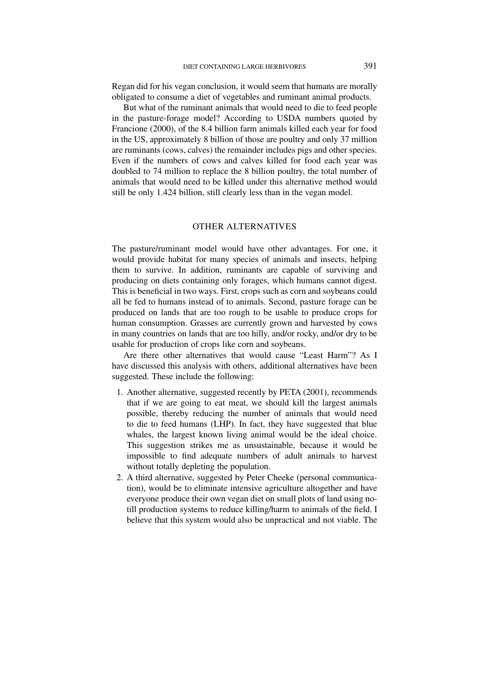### DIET CONTAINING LARGE HERBIVORES 391

Regan did for his vegan conclusion, it would seem that humans are morally obligated to consume a diet of vegetables and ruminant animal products.

But what of the ruminant animals that would need to die to feed people in the pasture-forage model? According to USDA numbers quoted by Francione (2000), of the 8.4 billion farm animals killed each year for food in the US, approximately 8 billion of those are poultry and only 37 million are ruminants (cows, calves) the remainder includes pigs and other species. Even if the numbers of cows and calves killed for food each year was doubled to 74 million to replace the 8 billion poultry, the total number of animals that would need to be killed under this alternative method would still be only 1.424 billion, still clearly less than in the vegan model.

### OTHER ALTERNATIVES

The pasture/ruminant model would have other advantages. For one, it would provide habitat for many species of animals and insects, helping them to survive. In addition, ruminants are capable of surviving and producing on diets containing only forages, which humans cannot digest. This is beneficial in two ways. First, crops such as corn and soybeans could all be fed to humans instead of to animals. Second, pasture forage can be produced on lands that are too rough to be usable to produce crops for human consumption. Grasses are currently grown and harvested by cows in many countries on lands that are too hilly, and/or rocky, and/or dry to be usable for production of crops like corn and soybeans.

Are there other alternatives that would cause "Least Harm"? As I have discussed this analysis with others, additional alternatives have been suggested. These include the following:

- 1. Another alternative, suggested recently by PETA (2001), recommends that if we are going to eat meat, we should kill the largest animals possible, thereby reducing the number of animals that would need to die to feed humans (LHP). In fact, they have suggested that blue whales, the largest known living animal would be the ideal choice. This suggestion strikes me as unsustainable, because it would be impossible to find adequate numbers of adult animals to harvest without totally depleting the population.
- 2. A third alternative, suggested by Peter Cheeke (personal communication), would be to eliminate intensive agriculture altogether and have everyone produce their own vegan diet on small plots of land using notill production systems to reduce killing/harm to animals of the field. I believe that this system would also be unpractical and not viable. The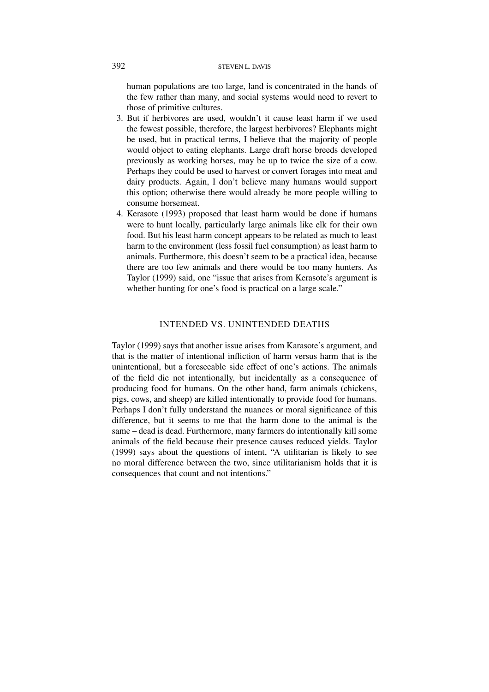human populations are too large, land is concentrated in the hands of the few rather than many, and social systems would need to revert to those of primitive cultures.

- 3. But if herbivores are used, wouldn't it cause least harm if we used the fewest possible, therefore, the largest herbivores? Elephants might be used, but in practical terms, I believe that the majority of people would object to eating elephants. Large draft horse breeds developed previously as working horses, may be up to twice the size of a cow. Perhaps they could be used to harvest or convert forages into meat and dairy products. Again, I don't believe many humans would support this option; otherwise there would already be more people willing to consume horsemeat.
- 4. Kerasote (1993) proposed that least harm would be done if humans were to hunt locally, particularly large animals like elk for their own food. But his least harm concept appears to be related as much to least harm to the environment (less fossil fuel consumption) as least harm to animals. Furthermore, this doesn't seem to be a practical idea, because there are too few animals and there would be too many hunters. As Taylor (1999) said, one "issue that arises from Kerasote's argument is whether hunting for one's food is practical on a large scale."

# INTENDED VS. UNINTENDED DEATHS

Taylor (1999) says that another issue arises from Karasote's argument, and that is the matter of intentional infliction of harm versus harm that is the unintentional, but a foreseeable side effect of one's actions. The animals of the field die not intentionally, but incidentally as a consequence of producing food for humans. On the other hand, farm animals (chickens, pigs, cows, and sheep) are killed intentionally to provide food for humans. Perhaps I don't fully understand the nuances or moral significance of this difference, but it seems to me that the harm done to the animal is the same – dead is dead. Furthermore, many farmers do intentionally kill some animals of the field because their presence causes reduced yields. Taylor (1999) says about the questions of intent, "A utilitarian is likely to see no moral difference between the two, since utilitarianism holds that it is consequences that count and not intentions."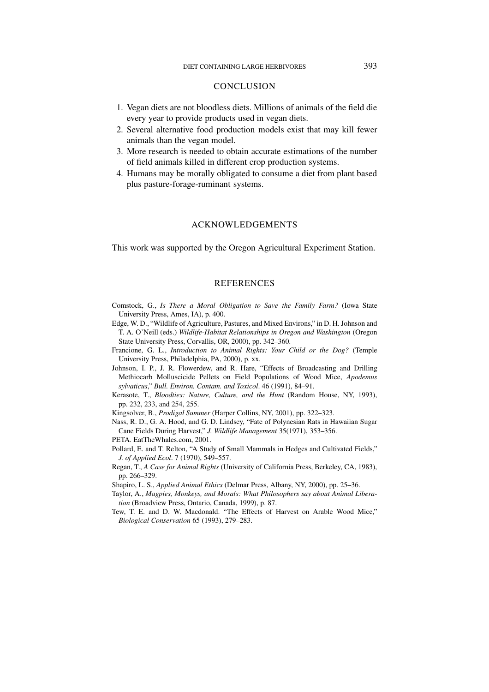#### DIET CONTAINING LARGE HERBIVORES 393

### **CONCLUSION**

- 1. Vegan diets are not bloodless diets. Millions of animals of the field die every year to provide products used in vegan diets.
- 2. Several alternative food production models exist that may kill fewer animals than the vegan model.
- 3. More research is needed to obtain accurate estimations of the number of field animals killed in different crop production systems.
- 4. Humans may be morally obligated to consume a diet from plant based plus pasture-forage-ruminant systems.

## ACKNOWLEDGEMENTS

This work was supported by the Oregon Agricultural Experiment Station.

### REFERENCES

- Comstock, G., *Is There a Moral Obligation to Save the Family Farm?* (Iowa State University Press, Ames, IA), p. 400.
- Edge, W. D., "Wildlife of Agriculture, Pastures, and Mixed Environs," in D. H. Johnson and T. A. O'Neill (eds.) *Wildlife-Habitat Relationships in Oregon and Washington* (Oregon State University Press, Corvallis, OR, 2000), pp. 342–360.
- Francione, G. L., *Introduction to Animal Rights: Your Child or the Dog?* (Temple University Press, Philadelphia, PA, 2000), p. xx.
- Johnson, I. P., J. R. Flowerdew, and R. Hare, "Effects of Broadcasting and Drilling Methiocarb Molluscicide Pellets on Field Populations of Wood Mice, *Apodemus sylvaticus*," *Bull. Environ. Contam. and Toxicol*. 46 (1991), 84–91.
- Kerasote, T., *Bloodties: Nature, Culture, and the Hunt* (Random House, NY, 1993), pp. 232, 233, and 254, 255.

Kingsolver, B., *Prodigal Summer* (Harper Collins, NY, 2001), pp. 322–323.

Nass, R. D., G. A. Hood, and G. D. Lindsey, "Fate of Polynesian Rats in Hawaiian Sugar Cane Fields During Harvest," *J. Wildlife Management* 35(1971), 353–356.

PETA. EatTheWhales.com, 2001.

- Pollard, E. and T. Relton, "A Study of Small Mammals in Hedges and Cultivated Fields," *J. of Applied Ecol*. 7 (1970), 549–557.
- Regan, T., *A Case for Animal Rights* (University of California Press, Berkeley, CA, 1983), pp. 266–329.

Shapiro, L. S., *Applied Animal Ethics* (Delmar Press, Albany, NY, 2000), pp. 25–36.

- Taylor, A., *Magpies, Monkeys, and Morals: What Philosophers say about Animal Liberation* (Broadview Press, Ontario, Canada, 1999), p. 87.
- Tew, T. E. and D. W. Macdonald. "The Effects of Harvest on Arable Wood Mice," *Biological Conservation* 65 (1993), 279–283.